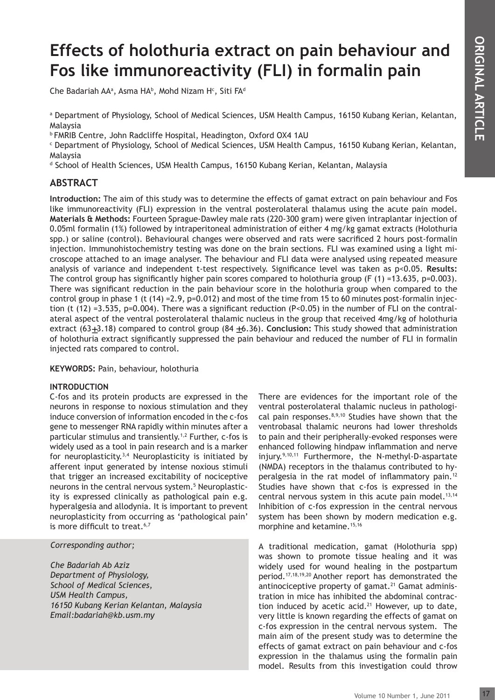# **Effects of holothuria extract on pain behaviour and Fos like immunoreactivity (FLI) in formalin pain**

Che Badariah AA<sup>a</sup>, Asma HA<sup>B</sup>, Mohd Nizam H<sup>c</sup>, Siti FA<sup>d</sup>

a Department of Physiology, School of Medical Sciences, USM Health Campus, 16150 Kubang Kerian, Kelantan, Malaysia

b FMRIB Centre, John Radcliffe Hospital, Headington, Oxford OX4 1AU

c Department of Physiology, School of Medical Sciences, USM Health Campus, 16150 Kubang Kerian, Kelantan, Malaysia

<sup>d</sup> School of Health Sciences, USM Health Campus, 16150 Kubang Kerian, Kelantan, Malaysia

# **ABSTRACT**

**CONTRACT AND SEVERAL ART AND SEVERAL ART AND SEVERAL ART AND SO Kubang Kerian, Kelantan,**<br>
So Kubang Kerian, Kelantan,<br>
Malaysia<br>
ton pain behaviour and Fos<br>
signal extracts (Holofoturia<br>
ifficed 2 hours post-formal<br>
iffi **Introduction:** The aim of this study was to determine the effects of gamat extract on pain behaviour and Fos like immunoreactivity (FLI) expression in the ventral posterolateral thalamus using the acute pain model. **Materials & Methods:** Fourteen Sprague-Dawley male rats (220-300 gram) were given intraplantar injection of 0.05ml formalin (1%) followed by intraperitoneal administration of either 4 mg/kg gamat extracts (Holothuria spp.) or saline (control). Behavioural changes were observed and rats were sacrificed 2 hours post-formalin injection. Immunohistochemistry testing was done on the brain sections. FLI was examined using a light microscope attached to an image analyser. The behaviour and FLI data were analysed using repeated measure analysis of variance and independent t-test respectively. Significance level was taken as p<0.05. **Results:** The control group has significantly higher pain scores compared to holothuria group (F  $(1)$  =13.635, p=0.003). There was significant reduction in the pain behaviour score in the holothuria group when compared to the control group in phase 1 (t (14) = 2.9, p=0.012) and most of the time from 15 to 60 minutes post-formalin injection (t (12) =3.535, p=0.004). There was a significant reduction (P<0.05) in the number of FLI on the contralateral aspect of the ventral posterolateral thalamic nucleus in the group that received 4mg/kg of holothuria extract (63<sub> $\pm$ </sub>3.18) compared to control group (84  $\pm$ 6.36). **Conclusion:** This study showed that administration of holothuria extract significantly suppressed the pain behaviour and reduced the number of FLI in formalin injected rats compared to control.

**KEYWORDS:** Pain, behaviour, holothuria

# **INTRODUCTION**

C-fos and its protein products are expressed in the neurons in response to noxious stimulation and they induce conversion of information encoded in the c-fos gene to messenger RNA rapidly within minutes after a particular stimulus and transiently.1,2 Further, c-fos is widely used as a tool in pain research and is a marker for neuroplasticity.<sup>3,4</sup> Neuroplasticity is initiated by afferent input generated by intense noxious stimuli that trigger an increased excitability of nociceptive neurons in the central nervous system.<sup>5</sup> Neuroplasticity is expressed clinically as pathological pain e.g. hyperalgesia and allodynia. It is important to prevent neuroplasticity from occurring as 'pathological pain' is more difficult to treat.<sup>6,7</sup>

*Corresponding author;*

*Che Badariah Ab Aziz Department of Physiology, School of Medical Sciences, USM Health Campus, 16150 Kubang Kerian Kelantan, Malaysia Email:badariah@kb.usm.my*

There are evidences for the important role of the ventral posterolateral thalamic nucleus in pathological pain responses.8,9,10 Studies have shown that the ventrobasal thalamic neurons had lower thresholds to pain and their peripherally-evoked responses were enhanced following hindpaw inflammation and nerve injury.9,10,11 Furthermore, the N-methyl-D-aspartate (NMDA) receptors in the thalamus contributed to hyperalgesia in the rat model of inflammatory pain.<sup>12</sup> Studies have shown that c-fos is expressed in the central nervous system in this acute pain model.<sup>13,14</sup> Inhibition of c-fos expression in the central nervous system has been shown by modern medication e.g. morphine and ketamine.<sup>15,16</sup>

A traditional medication, gamat (Holothuria spp) was shown to promote tissue healing and it was widely used for wound healing in the postpartum period.17,18,19,20 Another report has demonstrated the antinociceptive property of gamat.<sup>21</sup> Gamat administration in mice has inhibited the abdominal contraction induced by acetic acid.<sup>21</sup> However, up to date, very little is known regarding the effects of gamat on c-fos expression in the central nervous system. The main aim of the present study was to determine the effects of gamat extract on pain behaviour and c-fos expression in the thalamus using the formalin pain model. Results from this investigation could throw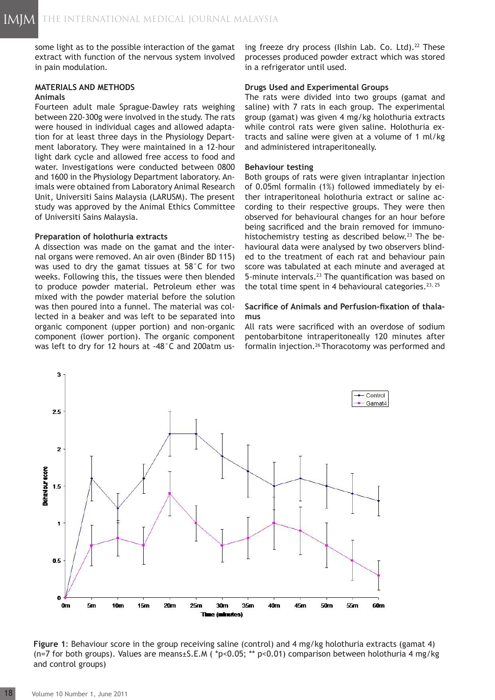some light as to the possible interaction of the gamat extract with function of the nervous system involved in pain modulation.

# **MATERIALS AND METHODS**

#### **Animals**

Fourteen adult male Sprague-Dawley rats weighing between 220-300g were involved in the study. The rats were housed in individual cages and allowed adaptation for at least three days in the Physiology Department laboratory. They were maintained in a 12-hour light dark cycle and allowed free access to food and water. Investigations were conducted between 0800 and 1600 in the Physiology Department laboratory. Animals were obtained from Laboratory Animal Research Unit, Universiti Sains Malaysia (LARUSM). The present study was approved by the Animal Ethics Committee of Universiti Sains Malaysia.

#### **Preparation of holothuria extracts**

A dissection was made on the gamat and the internal organs were removed. An air oven (Binder BD 115) was used to dry the gamat tissues at 58°C for two weeks. Following this, the tissues were then blended to produce powder material. Petroleum ether was mixed with the powder material before the solution was then poured into a funnel. The material was collected in a beaker and was left to be separated into organic component (upper portion) and non-organic component (lower portion). The organic component was left to dry for 12 hours at -48°C and 200atm using freeze dry process (Ilshin Lab. Co. Ltd). $^{22}$  These processes produced powder extract which was stored in a refrigerator until used.

#### **Drugs Used and Experimental Groups**

The rats were divided into two groups (gamat and saline) with 7 rats in each group. The experimental group (gamat) was given 4 mg/kg holothuria extracts while control rats were given saline. Holothuria extracts and saline were given at a volume of 1 ml/kg and administered intraperitoneally.

#### **Behaviour testing**

Both groups of rats were given intraplantar injection of 0.05ml formalin (1%) followed immediately by either intraperitoneal holothuria extract or saline according to their respective groups. They were then observed for behavioural changes for an hour before being sacrificed and the brain removed for immunohistochemistry testing as described below.<sup>23</sup> The behavioural data were analysed by two observers blinded to the treatment of each rat and behaviour pain score was tabulated at each minute and averaged at 5-minute intervals.<sup>23</sup> The quantification was based on the total time spent in 4 behavioural categories.<sup>23, 25</sup>

# **Sacrifice of Animals and Perfusion-fixation of thalamus**

All rats were sacrificed with an overdose of sodium pentobarbitone intraperitoneally 120 minutes after formalin injection.26 Thoracotomy was performed and



**Figure 1**: Behaviour score in the group receiving saline (control) and 4 mg/kg holothuria extracts (gamat 4) (n=7 for both groups). Values are means±S.E.M ( \*p<0.05; \*\* p<0.01) comparison between holothuria 4 mg/kg and control groups)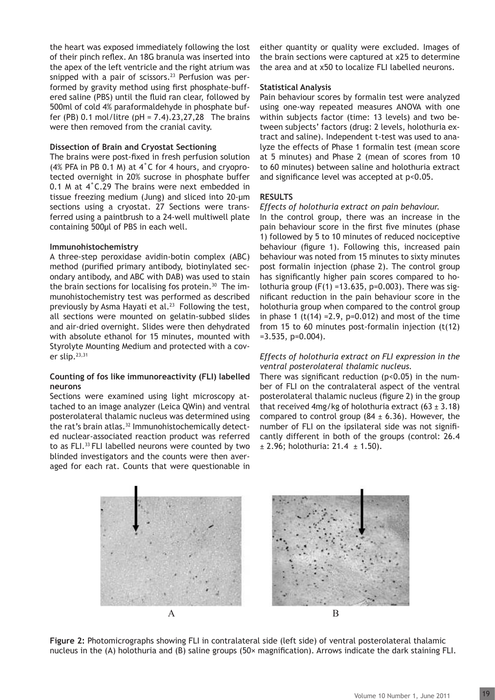the heart was exposed immediately following the lost of their pinch reflex. An 18G branula was inserted into the apex of the left ventricle and the right atrium was snipped with a pair of scissors.<sup>23</sup> Perfusion was performed by gravity method using first phosphate-buffered saline (PBS) until the fluid ran clear, followed by 500ml of cold 4% paraformaldehyde in phosphate buffer (PB) 0.1 mol/litre (pH = 7.4).23,27,28 The brains were then removed from the cranial cavity.

#### **Dissection of Brain and Cryostat Sectioning**

The brains were post-fixed in fresh perfusion solution (4% PFA in PB 0.1 M) at 4˚C for 4 hours, and cryoprotected overnight in 20% sucrose in phosphate buffer 0.1 M at 4˚C.29 The brains were next embedded in tissue freezing medium (Jung) and sliced into 20-µm sections using a cryostat. 27 Sections were transferred using a paintbrush to a 24-well multiwell plate containing 500μl of PBS in each well.

#### **Immunohistochemistry**

A three-step peroxidase avidin-botin complex (ABC) method (purified primary antibody, biotinylated secondary antibody, and ABC with DAB) was used to stain the brain sections for localising fos protein.<sup>30</sup> The immunohistochemistry test was performed as described previously by Asma Hayati et al.<sup>23</sup> Following the test, all sections were mounted on gelatin-subbed slides and air-dried overnight. Slides were then dehydrated with absolute ethanol for 15 minutes, mounted with Styrolyte Mounting Medium and protected with a cover slip.23,31

#### **Counting of fos like immunoreactivity (FLI) labelled neurons**

Sections were examined using light microscopy attached to an image analyzer (Leica QWin) and ventral posterolateral thalamic nucleus was determined using the rat's brain atlas.<sup>32</sup> Immunohistochemically detected nuclear-associated reaction product was referred to as FLI.33 FLI labelled neurons were counted by two blinded investigators and the counts were then averaged for each rat. Counts that were questionable in either quantity or quality were excluded. Images of the brain sections were captured at x25 to determine the area and at x50 to localize FLI labelled neurons.

#### **Statistical Analysis**

Pain behaviour scores by formalin test were analyzed using one-way repeated measures ANOVA with one within subjects factor (time: 13 levels) and two between subjects' factors (drug: 2 levels, holothuria extract and saline). Independent t-test was used to analyze the effects of Phase 1 formalin test (mean score at 5 minutes) and Phase 2 (mean of scores from 10 to 60 minutes) between saline and holothuria extract and significance level was accepted at p<0.05.

#### **RESULTS**

#### *Effects of holothuria extract on pain behaviour.*

In the control group, there was an increase in the pain behaviour score in the first five minutes (phase 1) followed by 5 to 10 minutes of reduced nociceptive behaviour (figure 1). Following this, increased pain behaviour was noted from 15 minutes to sixty minutes post formalin injection (phase 2). The control group has significantly higher pain scores compared to holothuria group  $(F(1) = 13.635, p=0.003)$ . There was significant reduction in the pain behaviour score in the holothuria group when compared to the control group in phase 1 (t(14) =  $2.9$ , p= $0.012$ ) and most of the time from 15 to 60 minutes post-formalin injection (t(12)  $=3.535, p=0.004$ .

# *Effects of holothuria extract on FLI expression in the ventral posterolateral thalamic nucleus.*

There was significant reduction ( $p$ <0.05) in the number of FLI on the contralateral aspect of the ventral posterolateral thalamic nucleus (figure 2) in the group that received 4mg/kg of holothuria extract  $(63 \pm 3.18)$ compared to control group  $(84 \pm 6.36)$ . However, the number of FLI on the ipsilateral side was not significantly different in both of the groups (control: 26.4  $± 2.96$ ; holothuria: 21.4  $± 1.50$ ).



**Figure 2:** Photomicrographs showing FLI in contralateral side (left side) of ventral posterolateral thalamic nucleus in the (A) holothuria and (B) saline groups (50× magnification). Arrows indicate the dark staining FLI.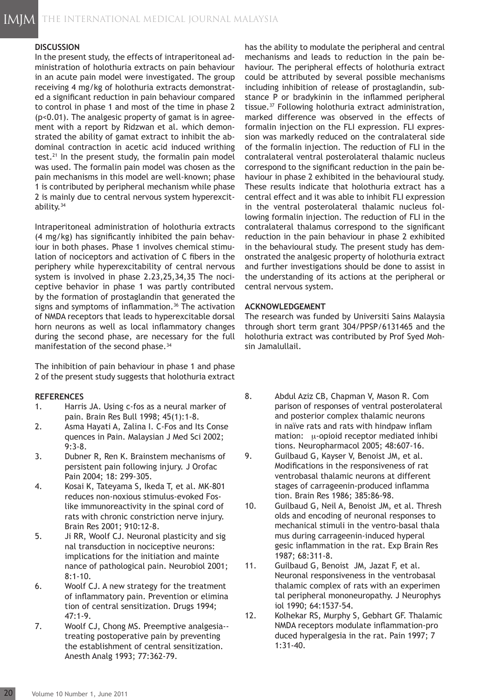# **DISCUSSION**

In the present study, the effects of intraperitoneal administration of holothuria extracts on pain behaviour in an acute pain model were investigated. The group receiving 4 mg/kg of holothuria extracts demonstrated a significant reduction in pain behaviour compared to control in phase 1 and most of the time in phase 2 (p<0.01). The analgesic property of gamat is in agreement with a report by Ridzwan et al. which demonstrated the ability of gamat extract to inhibit the abdominal contraction in acetic acid induced writhing test.<sup>21</sup> In the present study, the formalin pain model was used. The formalin pain model was chosen as the pain mechanisms in this model are well-known; phase 1 is contributed by peripheral mechanism while phase 2 is mainly due to central nervous system hyperexcitability.34

Intraperitoneal administration of holothuria extracts (4 mg/kg) has significantly inhibited the pain behaviour in both phases. Phase 1 involves chemical stimulation of nociceptors and activation of C fibers in the periphery while hyperexcitability of central nervous system is involved in phase 2.23,25,34,35 The nociceptive behavior in phase 1 was partly contributed by the formation of prostaglandin that generated the signs and symptoms of inflammation.<sup>36</sup> The activation of NMDA receptors that leads to hyperexcitable dorsal horn neurons as well as local inflammatory changes during the second phase, are necessary for the full manifestation of the second phase.<sup>34</sup>

The inhibition of pain behaviour in phase 1 and phase 2 of the present study suggests that holothuria extract

## **REFERENCES**

- 1. Harris JA. Using c-fos as a neural marker of pain. Brain Res Bull 1998; 45(1):1-8.
- 2. Asma Hayati A, Zalina I. C-Fos and Its Conse quences in Pain. Malaysian J Med Sci 2002; 9:3-8.
- 3. Dubner R, Ren K. Brainstem mechanisms of persistent pain following injury. J Orofac Pain 2004; 18: 299-305.
- 4. Kosai K, Tateyama S, Ikeda T, et al. MK-801 reduces non-noxious stimulus-evoked Foslike immunoreactivity in the spinal cord of rats with chronic constriction nerve injury. Brain Res 2001; 910:12-8.
- 5. Ji RR, Woolf CJ. Neuronal plasticity and sig nal transduction in nociceptive neurons: implications for the initiation and mainte nance of pathological pain. Neurobiol 2001; 8:1-10.
- 6. Woolf CJ. A new strategy for the treatment of inflammatory pain. Prevention or elimina tion of central sensitization. Drugs 1994; 47:1-9.
- 7. Woolf CJ, Chong MS. Preemptive analgesia- treating postoperative pain by preventing the establishment of central sensitization. Anesth Analg 1993; 77:362-79.

has the ability to modulate the peripheral and central mechanisms and leads to reduction in the pain behaviour. The peripheral effects of holothuria extract could be attributed by several possible mechanisms including inhibition of release of prostaglandin, substance P or bradykinin in the inflammed peripheral tissue.37 Following holothuria extract administration, marked difference was observed in the effects of formalin injection on the FLI expression. FLI expression was markedly reduced on the contralateral side of the formalin injection. The reduction of FLI in the contralateral ventral posterolateral thalamic nucleus correspond to the significant reduction in the pain behaviour in phase 2 exhibited in the behavioural study. These results indicate that holothuria extract has a central effect and it was able to inhibit FLI expression in the ventral posterolateral thalamic nucleus following formalin injection. The reduction of FLI in the contralateral thalamus correspond to the significant reduction in the pain behaviour in phase 2 exhibited in the behavioural study. The present study has demonstrated the analgesic property of holothuria extract and further investigations should be done to assist in the understanding of its actions at the peripheral or central nervous system.

# **ACKNOWLEDGEMENT**

The research was funded by Universiti Sains Malaysia through short term grant 304/PPSP/6131465 and the holothuria extract was contributed by Prof Syed Mohsin Jamalullail.

- 8. Abdul Aziz CB, Chapman V, Mason R. Com parison of responses of ventral posterolateral and posterior complex thalamic neurons in naïve rats and rats with hindpaw inflam mation:  $\mu$ -opioid receptor mediated inhibi tions. Neuropharmacol 2005; 48:607-16.
- 9. Guilbaud G, Kayser V, Benoist JM, et al. Modifications in the responsiveness of rat ventrobasal thalamic neurons at different stages of carrageenin-produced inflamma tion. Brain Res 1986; 385:86-98.
- 10. Guilbaud G, Neil A, Benoist JM, et al. Thresh olds and encoding of neuronal responses to mechanical stimuli in the ventro-basal thala mus during carrageenin-induced hyperal gesic inflammation in the rat. Exp Brain Res 1987; 68:311-8.
- 11. Guilbaud G, Benoist JM, Jazat F, et al. Neuronal responsiveness in the ventrobasal thalamic complex of rats with an experimen tal peripheral mononeuropathy. J Neurophys iol 1990; 64:1537-54.
- 12. Kolhekar RS, Murphy S, Gebhart GF. Thalamic NMDA receptors modulate inflammation-pro duced hyperalgesia in the rat. Pain 1997; 7 1:31-40.